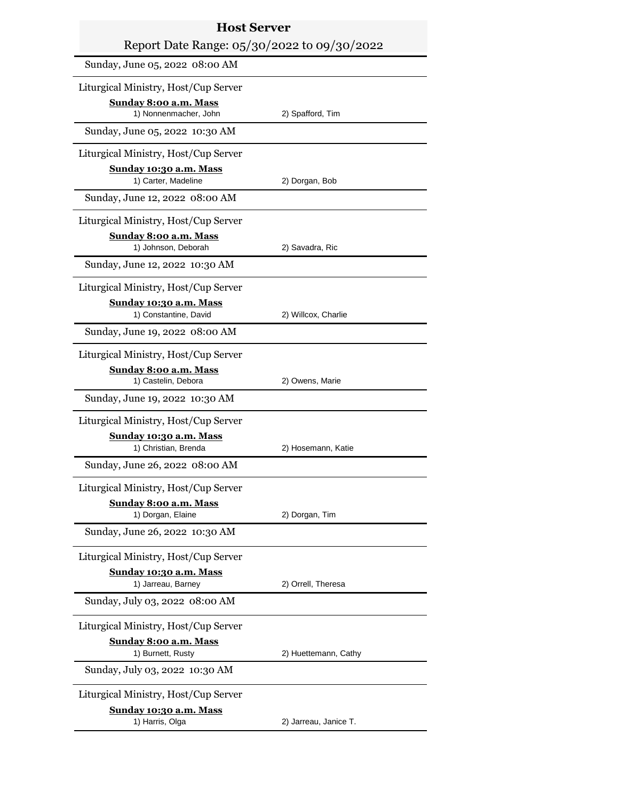| <b>Host Server</b>                                  |                       |  |
|-----------------------------------------------------|-----------------------|--|
| Report Date Range: 05/30/2022 to 09/30/2022         |                       |  |
| Sunday, June 05, 2022 08:00 AM                      |                       |  |
| Liturgical Ministry, Host/Cup Server                |                       |  |
| Sunday 8:00 a.m. Mass<br>1) Nonnenmacher, John      | 2) Spafford, Tim      |  |
| Sunday, June 05, 2022 10:30 AM                      |                       |  |
| Liturgical Ministry, Host/Cup Server                |                       |  |
| Sunday 10:30 a.m. Mass<br>1) Carter, Madeline       | 2) Dorgan, Bob        |  |
| Sunday, June 12, 2022 08:00 AM                      |                       |  |
| Liturgical Ministry, Host/Cup Server                |                       |  |
| Sunday 8:00 a.m. Mass<br>1) Johnson, Deborah        | 2) Savadra, Ric       |  |
| Sunday, June 12, 2022 10:30 AM                      |                       |  |
| Liturgical Ministry, Host/Cup Server                |                       |  |
| Sunday 10:30 a.m. Mass                              |                       |  |
| 1) Constantine, David                               | 2) Willcox, Charlie   |  |
| Sunday, June 19, 2022 08:00 AM                      |                       |  |
| Liturgical Ministry, Host/Cup Server                |                       |  |
| Sunday 8:00 a.m. Mass<br>1) Castelin, Debora        | 2) Owens, Marie       |  |
| Sunday, June 19, 2022 10:30 AM                      |                       |  |
| Liturgical Ministry, Host/Cup Server                |                       |  |
| Sunday 10:30 a.m. Mass<br>1) Christian, Brenda      | 2) Hosemann, Katie    |  |
| Sunday, June 26, 2022 08:00 AM                      |                       |  |
| Liturgical Ministry, Host/Cup Server                |                       |  |
| Sunday 8:00 a.m. Mass<br>1) Dorgan, Elaine          | 2) Dorgan, Tim        |  |
| Sunday, June 26, 2022 10:30 AM                      |                       |  |
| Liturgical Ministry, Host/Cup Server                |                       |  |
| Sunday 10:30 a.m. Mass<br>1) Jarreau, Barney        | 2) Orrell, Theresa    |  |
| Sunday, July 03, 2022 08:00 AM                      |                       |  |
| Liturgical Ministry, Host/Cup Server                |                       |  |
| <b>Sunday 8:00 a.m. Mass</b>                        |                       |  |
| 1) Burnett, Rusty<br>Sunday, July 03, 2022 10:30 AM | 2) Huettemann, Cathy  |  |
| Liturgical Ministry, Host/Cup Server                |                       |  |
| Sunday 10:30 a.m. Mass<br>1) Harris, Olga           | 2) Jarreau, Janice T. |  |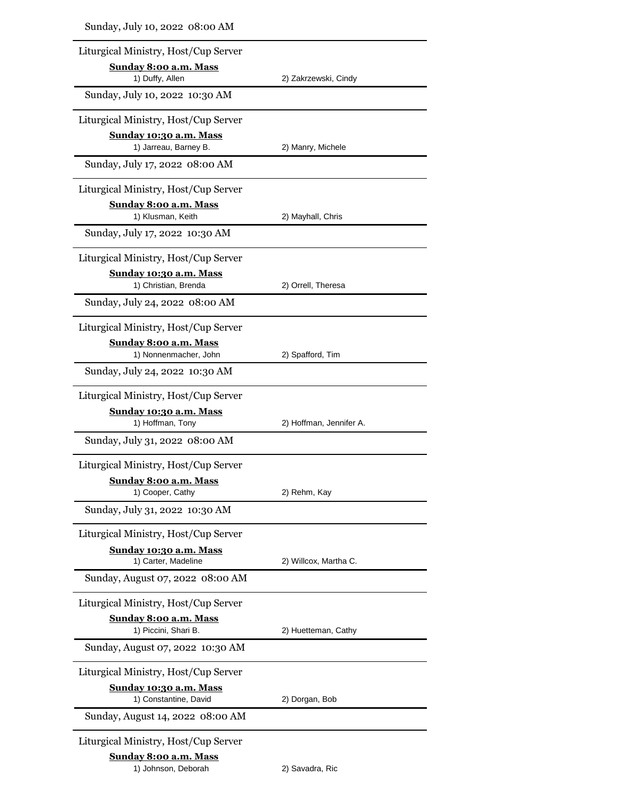| Sunday, July 10, 2022 08:00 AM                         |                         |
|--------------------------------------------------------|-------------------------|
| Liturgical Ministry, Host/Cup Server                   |                         |
| Sunday 8:00 a.m. Mass                                  |                         |
| 1) Duffy, Allen                                        | 2) Zakrzewski, Cindy    |
| Sunday, July 10, 2022 10:30 AM                         |                         |
| Liturgical Ministry, Host/Cup Server                   |                         |
| <u>Sunday 10:30 a.m. Mass</u><br>1) Jarreau, Barney B. | 2) Manry, Michele       |
| Sunday, July 17, 2022 08:00 AM                         |                         |
| Liturgical Ministry, Host/Cup Server                   |                         |
| <u>Sunday 8:00 a.m. Mass</u><br>1) Klusman, Keith      | 2) Mayhall, Chris       |
| Sunday, July 17, 2022 10:30 AM                         |                         |
| Liturgical Ministry, Host/Cup Server                   |                         |
| <u>Sunday 10:30 a.m. Mass</u><br>1) Christian, Brenda  | 2) Orrell, Theresa      |
| Sunday, July 24, 2022 08:00 AM                         |                         |
| Liturgical Ministry, Host/Cup Server                   |                         |
| Sunday 8:00 a.m. Mass                                  |                         |
| 1) Nonnenmacher, John                                  | 2) Spafford, Tim        |
| Sunday, July 24, 2022 10:30 AM                         |                         |
| Liturgical Ministry, Host/Cup Server                   |                         |
| Sunday 10:30 a.m. Mass<br>1) Hoffman, Tony             | 2) Hoffman, Jennifer A. |
| Sunday, July 31, 2022 08:00 AM                         |                         |
| Liturgical Ministry, Host/Cup Server                   |                         |
| Sunday 8:00 a.m. Mass<br>1) Cooper, Cathy              | 2) Rehm, Kay            |
| Sunday, July 31, 2022 10:30 AM                         |                         |
| Liturgical Ministry, Host/Cup Server                   |                         |
| Sunday 10:30 a.m. Mass                                 |                         |
| 1) Carter, Madeline                                    | 2) Willcox, Martha C.   |
| Sunday, August 07, 2022 08:00 AM                       |                         |
| Liturgical Ministry, Host/Cup Server                   |                         |
| <u>Sunday 8:00 a.m. Mass</u><br>1) Piccini, Shari B.   | 2) Huetteman, Cathy     |
| Sunday, August 07, 2022 10:30 AM                       |                         |
| Liturgical Ministry, Host/Cup Server                   |                         |
| <u>Sunday 10:30 a.m. Mass</u><br>1) Constantine, David | 2) Dorgan, Bob          |
| Sunday, August 14, 2022 08:00 AM                       |                         |
| Liturgical Ministry, Host/Cup Server                   |                         |
| Sunday 8:00 a.m. Mass                                  |                         |

1) Johnson, Deborah 2) Savadra, Ric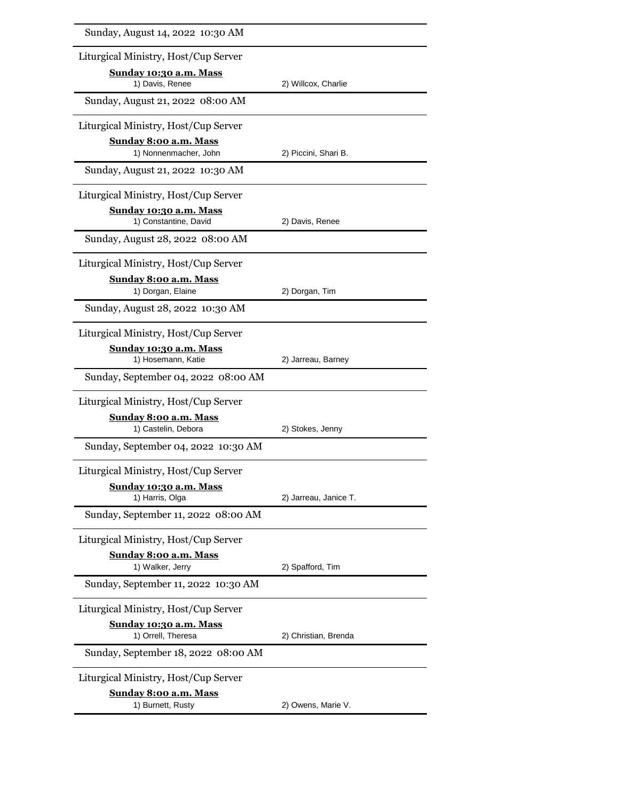| Sunday, August 14, 2022 10:30 AM                          |                       |
|-----------------------------------------------------------|-----------------------|
| Liturgical Ministry, Host/Cup Server                      |                       |
| Sunday 10:30 a.m. Mass<br>1) Davis, Renee                 | 2) Willcox, Charlie   |
| Sunday, August 21, 2022 08:00 AM                          |                       |
| Liturgical Ministry, Host/Cup Server                      |                       |
| <b>Sunday 8:00 a.m. Mass</b><br>1) Nonnenmacher, John     | 2) Piccini, Shari B.  |
| Sunday, August 21, 2022 10:30 AM                          |                       |
| Liturgical Ministry, Host/Cup Server                      |                       |
| Sunday 10:30 a.m. Mass<br>1) Constantine, David           | 2) Davis, Renee       |
| Sunday, August 28, 2022 08:00 AM                          |                       |
| Liturgical Ministry, Host/Cup Server                      |                       |
| <b>Sunday 8:00 a.m. Mass</b><br>1) Dorgan, Elaine         | 2) Dorgan, Tim        |
| Sunday, August 28, 2022 10:30 AM                          |                       |
| Liturgical Ministry, Host/Cup Server                      |                       |
| Sunday 10:30 a.m. Mass                                    |                       |
| 1) Hosemann, Katie<br>Sunday, September 04, 2022 08:00 AM | 2) Jarreau, Barney    |
| Liturgical Ministry, Host/Cup Server                      |                       |
| <u>Sunday 8:00 a.m. Mass</u>                              |                       |
| 1) Castelin, Debora                                       | 2) Stokes, Jenny      |
| Sunday, September 04, 2022 10:30 AM                       |                       |
| Liturgical Ministry, Host/Cup Server                      |                       |
| Sunday 10:30 a.m. Mass<br>1) Harris, Olga                 | 2) Jarreau, Janice T. |
| Sunday, September 11, 2022 08:00 AM                       |                       |
| Liturgical Ministry, Host/Cup Server                      |                       |
| Sunday 8:00 a.m. Mass<br>1) Walker, Jerry                 | 2) Spafford, Tim      |
| Sunday, September 11, 2022 10:30 AM                       |                       |
| Liturgical Ministry, Host/Cup Server                      |                       |
| <u>Sunday 10:30 a.m. Mass</u><br>1) Orrell, Theresa       | 2) Christian, Brenda  |
| Sunday, September 18, 2022 08:00 AM                       |                       |
| Liturgical Ministry, Host/Cup Server                      |                       |
| <b>Sunday 8:00 a.m. Mass</b><br>1) Burnett, Rusty         | 2) Owens, Marie V.    |